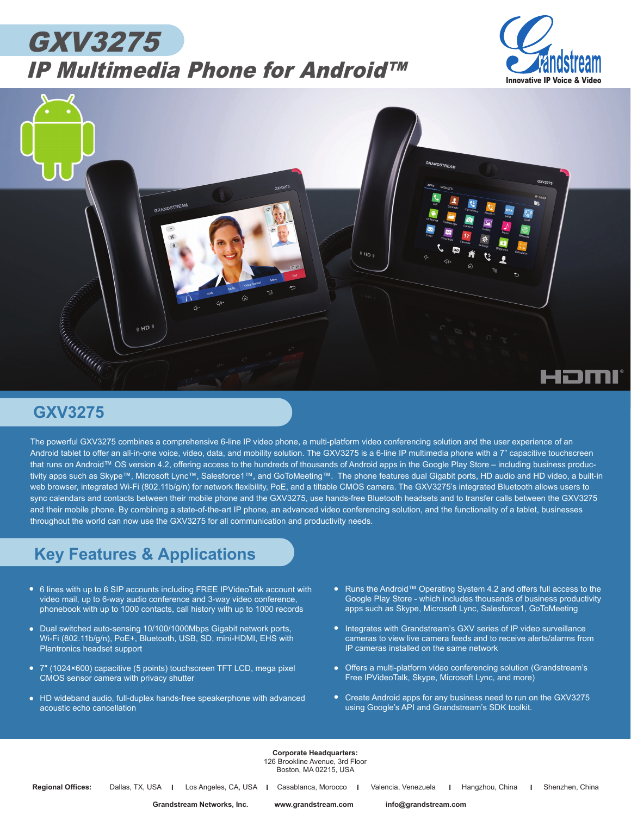## GXV3275 IP Multimedia Phone for Android™





## **GXV3275**

The powerful GXV3275 combines a comprehensive 6-line IP video phone, a multi-platform video conferencing solution and the user experience of an Android tablet to offer an all-in-one voice, video, data, and mobility solution. The GXV3275 is a 6-line IP multimedia phone with a 7" capacitive touchscreen that runs on Android™ OS version 4.2, offering access to the hundreds of thousands of Android apps in the Google Play Store – including business productivity apps such as Skype™, Microsoft Lync™, Salesforce1™, and GoToMeeting™. The phone features dual Gigabit ports, HD audio and HD video, a built-in web browser, integrated Wi-Fi (802.11b/g/n) for network flexibility, PoE, and a tiltable CMOS camera. The GXV3275's integrated Bluetooth allows users to sync calendars and contacts between their mobile phone and the GXV3275, use hands-free Bluetooth headsets and to transfer calls between the GXV3275 and their mobile phone. By combining a state-of-the-art IP phone, an advanced video conferencing solution, and the functionality of a tablet, businesses throughout the world can now use the GXV3275 for all communication and productivity needs.

## **Key Features & Applications**

- 6 lines with up to 6 SIP accounts including FREE IPVideoTalk account with video mail, up to 6-way audio conference and 3-way video conference, phonebook with up to 1000 contacts, call history with up to 1000 records
- *• •* Dual switched auto-sensing 10/100/1000Mbps Gigabit network ports, Wi-Fi (802.11b/g/n), PoE+, Bluetooth, USB, SD, mini-HDMI, EHS with Plantronics headset support
- *•* 7" (1024×600) capacitive (5 points) touchscreen TFT LCD, mega pixel CMOS sensor camera with privacy shutter
- *•* HD wideband audio, full-duplex hands-free speakerphone with advanced acoustic echo cancellation
- Runs the Android™ Operating System 4.2 and offers full access to the *•* Google Play Store - which includes thousands of business productivity apps such as Skype, Microsoft Lync, Salesforce1, GoToMeeting
- Integrates with Grandstream's GXV series of IP video surveillance cameras to view live camera feeds and to receive alerts/alarms from IP cameras installed on the same network
- *•* Offers a multi-platform video conferencing solution (Grandstream's Free IPVideoTalk, Skype, Microsoft Lync, and more)
- Create Android apps for any business need to run on the GXV3275 using Google's API and Grandstream's SDK toolkit.

**Corporate Headquarters:** 126 Brookline Avenue, 3rd Floor Boston, MA 02215, USA

**Grandstream Networks, Inc. www.grandstream.com info@grandstream.com**